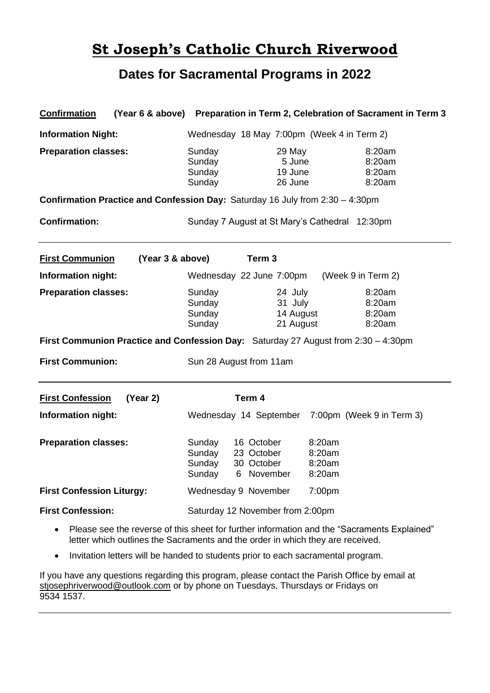# **St Joseph's Catholic Church Riverwood**

### **Dates for Sacramental Programs in 2022**

| <b>Confirmation</b>                                                                        |                                                                                                               | (Year 6 & above) Preparation in Term 2, Celebration of Sacrament in Term 3 |
|--------------------------------------------------------------------------------------------|---------------------------------------------------------------------------------------------------------------|----------------------------------------------------------------------------|
| <b>Information Night:</b>                                                                  | Wednesday 18 May 7:00pm (Week 4 in Term 2)                                                                    |                                                                            |
| <b>Preparation classes:</b>                                                                | Sunday<br>29 May<br>Sunday<br>5 June<br>Sunday<br>19 June<br>Sunday<br>26 June                                | 8:20am<br>8:20am<br>8:20am<br>8:20am                                       |
| Confirmation Practice and Confession Day: Saturday 16 July from 2:30 - 4:30pm              |                                                                                                               |                                                                            |
| <b>Confirmation:</b>                                                                       | Sunday 7 August at St Mary's Cathedral 12:30pm                                                                |                                                                            |
| <b>First Communion</b><br>(Year 3 & above)                                                 | Term <sub>3</sub>                                                                                             |                                                                            |
| Information night:                                                                         | Wednesday 22 June 7:00pm                                                                                      | (Week 9 in Term 2)                                                         |
| <b>Preparation classes:</b>                                                                | Sunday<br>24 July<br>Sunday<br>31 July<br>Sunday<br>14 August<br>Sunday<br>21 August                          | 8:20am<br>8:20am<br>8:20am<br>8:20am                                       |
| <b>First Communion:</b>                                                                    | First Communion Practice and Confession Day: Saturday 27 August from 2:30 - 4:30pm<br>Sun 28 August from 11am |                                                                            |
| <b>First Confession</b><br>(Year 2)                                                        | Term 4                                                                                                        |                                                                            |
| Information night:                                                                         |                                                                                                               | Wednesday 14 September 7:00pm (Week 9 in Term 3)                           |
| <b>Preparation classes:</b>                                                                | 16 October<br>Sunday<br>Sunday<br>23 October<br>Sunday<br>30 October<br>6 November<br>Sunday                  | 8:20am<br>8:20am<br>8:20am<br>8:20am                                       |
| <b>First Confession Liturgy:</b>                                                           | Wednesday 9 November                                                                                          | 7:00pm                                                                     |
| <b>First Confession:</b>                                                                   | Saturday 12 November from 2:00pm                                                                              |                                                                            |
| Dlogge gee the voyage of this sheet far further information and the "Cooromonte Evalsiaed" |                                                                                                               |                                                                            |

- Please see the reverse of this sheet for further information and the "Sacraments Explained" letter which outlines the Sacraments and the order in which they are received.
- Invitation letters will be handed to students prior to each sacramental program.

If you have any questions regarding this program, please contact the Parish Office by email at [stjosephriverwood@outlook.com](mailto:stjosephriverwood@outlook.com) or by phone on Tuesdays, Thursdays or Fridays on 9534 1537.